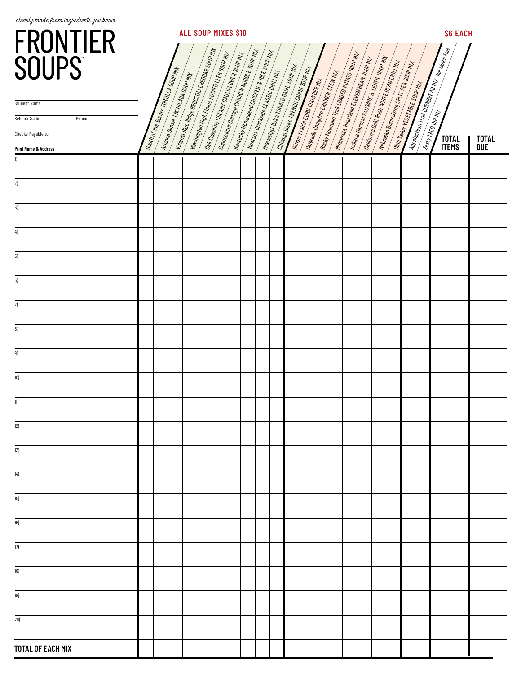| clearly made from ingredients you know<br>FRONTIER<br>SOUPS                                           | <b>ALL SOUP MIXES \$10</b><br>Virginia Blue Ridge BROCOUL CHEDDAR SOUP MX<br>Connecticut Cottage CHICFEH MOONE SOUP MX<br>Kentucky Hamestead CHICKEN & RICE SOUP MX<br>Washington High Peins POTATO LEFS SOUP MY<br><b>Rocky Mountain Trail LOMED POINTS SOUP MIX</b><br>Call Coastine CREAMY CAULTED WER SOUP MY<br>Matana Harvest SAUSJOE & LEIVIL SOUP MY<br>Minnesota Haartland ELEVEN BEAN SOUP MY<br><b>California Gold Russ WHITE BEAN CHILL MX</b><br>Windows Bally and Superman Property<br>Massing Development Control of Manual Control<br>Dhiango Basto File Victor Angel Souper<br>South of the Border Town La SOUP MH<br><b>Montaina Creekside CLASSIC CHILL MIX</b><br>Colorado Campine Chickets STEW WH<br>Arizona Sunset ENCHIL ADA SOUP My<br><b>Winnis Praire Conv Converge May</b> |  |  |  |  |  |  |  |  |  |  |  |  |  |  | <b>\$6 EACH</b><br>$\boxed{\frac{A\overline{\rho_{B}}a_{G}\overline{\eta_{B}}\eta}{I\overline{\eta_{B}}I\overline{\Omega_{B}}\eta_{B}\overline{\eta_{E}}\eta_{B}}\overline{\eta_{B}}\overline{\eta_{B}}\overline{\eta_{B}}\overline{\eta_{B}}\overline{\eta_{B}}\overline{\eta_{B}}\overline{\eta_{B}}\overline{\eta_{B}}}}$ |                              |  |                              |                            |
|-------------------------------------------------------------------------------------------------------|--------------------------------------------------------------------------------------------------------------------------------------------------------------------------------------------------------------------------------------------------------------------------------------------------------------------------------------------------------------------------------------------------------------------------------------------------------------------------------------------------------------------------------------------------------------------------------------------------------------------------------------------------------------------------------------------------------------------------------------------------------------------------------------------------------|--|--|--|--|--|--|--|--|--|--|--|--|--|--|------------------------------------------------------------------------------------------------------------------------------------------------------------------------------------------------------------------------------------------------------------------------------------------------------------------------------|------------------------------|--|------------------------------|----------------------------|
| <b>Student Name</b><br>School/Grade<br>Phone<br>Checks Payable to:<br><b>Print Name &amp; Address</b> |                                                                                                                                                                                                                                                                                                                                                                                                                                                                                                                                                                                                                                                                                                                                                                                                        |  |  |  |  |  |  |  |  |  |  |  |  |  |  |                                                                                                                                                                                                                                                                                                                              | Onio Valley VEGTABLE SOUPHLY |  | <b>TOTAL</b><br><b>ITEMS</b> | <b>TOTAL</b><br><b>DUE</b> |
| 1)<br>2)                                                                                              |                                                                                                                                                                                                                                                                                                                                                                                                                                                                                                                                                                                                                                                                                                                                                                                                        |  |  |  |  |  |  |  |  |  |  |  |  |  |  |                                                                                                                                                                                                                                                                                                                              |                              |  |                              |                            |
| 3)                                                                                                    |                                                                                                                                                                                                                                                                                                                                                                                                                                                                                                                                                                                                                                                                                                                                                                                                        |  |  |  |  |  |  |  |  |  |  |  |  |  |  |                                                                                                                                                                                                                                                                                                                              |                              |  |                              |                            |
| 4)                                                                                                    |                                                                                                                                                                                                                                                                                                                                                                                                                                                                                                                                                                                                                                                                                                                                                                                                        |  |  |  |  |  |  |  |  |  |  |  |  |  |  |                                                                                                                                                                                                                                                                                                                              |                              |  |                              |                            |
| 5)                                                                                                    |                                                                                                                                                                                                                                                                                                                                                                                                                                                                                                                                                                                                                                                                                                                                                                                                        |  |  |  |  |  |  |  |  |  |  |  |  |  |  |                                                                                                                                                                                                                                                                                                                              |                              |  |                              |                            |
| 6)                                                                                                    |                                                                                                                                                                                                                                                                                                                                                                                                                                                                                                                                                                                                                                                                                                                                                                                                        |  |  |  |  |  |  |  |  |  |  |  |  |  |  |                                                                                                                                                                                                                                                                                                                              |                              |  |                              |                            |
| 7)                                                                                                    |                                                                                                                                                                                                                                                                                                                                                                                                                                                                                                                                                                                                                                                                                                                                                                                                        |  |  |  |  |  |  |  |  |  |  |  |  |  |  |                                                                                                                                                                                                                                                                                                                              |                              |  |                              |                            |
| 8)                                                                                                    |                                                                                                                                                                                                                                                                                                                                                                                                                                                                                                                                                                                                                                                                                                                                                                                                        |  |  |  |  |  |  |  |  |  |  |  |  |  |  |                                                                                                                                                                                                                                                                                                                              |                              |  |                              |                            |
| 9)                                                                                                    |                                                                                                                                                                                                                                                                                                                                                                                                                                                                                                                                                                                                                                                                                                                                                                                                        |  |  |  |  |  |  |  |  |  |  |  |  |  |  |                                                                                                                                                                                                                                                                                                                              |                              |  |                              |                            |
| 10)                                                                                                   |                                                                                                                                                                                                                                                                                                                                                                                                                                                                                                                                                                                                                                                                                                                                                                                                        |  |  |  |  |  |  |  |  |  |  |  |  |  |  |                                                                                                                                                                                                                                                                                                                              |                              |  |                              |                            |
| 11)                                                                                                   |                                                                                                                                                                                                                                                                                                                                                                                                                                                                                                                                                                                                                                                                                                                                                                                                        |  |  |  |  |  |  |  |  |  |  |  |  |  |  |                                                                                                                                                                                                                                                                                                                              |                              |  |                              |                            |
| 12)                                                                                                   |                                                                                                                                                                                                                                                                                                                                                                                                                                                                                                                                                                                                                                                                                                                                                                                                        |  |  |  |  |  |  |  |  |  |  |  |  |  |  |                                                                                                                                                                                                                                                                                                                              |                              |  |                              |                            |
| 13)                                                                                                   |                                                                                                                                                                                                                                                                                                                                                                                                                                                                                                                                                                                                                                                                                                                                                                                                        |  |  |  |  |  |  |  |  |  |  |  |  |  |  |                                                                                                                                                                                                                                                                                                                              |                              |  |                              |                            |
| 14)                                                                                                   |                                                                                                                                                                                                                                                                                                                                                                                                                                                                                                                                                                                                                                                                                                                                                                                                        |  |  |  |  |  |  |  |  |  |  |  |  |  |  |                                                                                                                                                                                                                                                                                                                              |                              |  |                              |                            |
| 15)                                                                                                   |                                                                                                                                                                                                                                                                                                                                                                                                                                                                                                                                                                                                                                                                                                                                                                                                        |  |  |  |  |  |  |  |  |  |  |  |  |  |  |                                                                                                                                                                                                                                                                                                                              |                              |  |                              |                            |
| 16)                                                                                                   |                                                                                                                                                                                                                                                                                                                                                                                                                                                                                                                                                                                                                                                                                                                                                                                                        |  |  |  |  |  |  |  |  |  |  |  |  |  |  |                                                                                                                                                                                                                                                                                                                              |                              |  |                              |                            |
| 17)                                                                                                   |                                                                                                                                                                                                                                                                                                                                                                                                                                                                                                                                                                                                                                                                                                                                                                                                        |  |  |  |  |  |  |  |  |  |  |  |  |  |  |                                                                                                                                                                                                                                                                                                                              |                              |  |                              |                            |
| 18)                                                                                                   |                                                                                                                                                                                                                                                                                                                                                                                                                                                                                                                                                                                                                                                                                                                                                                                                        |  |  |  |  |  |  |  |  |  |  |  |  |  |  |                                                                                                                                                                                                                                                                                                                              |                              |  |                              |                            |
| 19)                                                                                                   |                                                                                                                                                                                                                                                                                                                                                                                                                                                                                                                                                                                                                                                                                                                                                                                                        |  |  |  |  |  |  |  |  |  |  |  |  |  |  |                                                                                                                                                                                                                                                                                                                              |                              |  |                              |                            |
| 20)                                                                                                   |                                                                                                                                                                                                                                                                                                                                                                                                                                                                                                                                                                                                                                                                                                                                                                                                        |  |  |  |  |  |  |  |  |  |  |  |  |  |  |                                                                                                                                                                                                                                                                                                                              |                              |  |                              |                            |
| <b>TOTAL OF EACH MIX</b>                                                                              |                                                                                                                                                                                                                                                                                                                                                                                                                                                                                                                                                                                                                                                                                                                                                                                                        |  |  |  |  |  |  |  |  |  |  |  |  |  |  |                                                                                                                                                                                                                                                                                                                              |                              |  |                              |                            |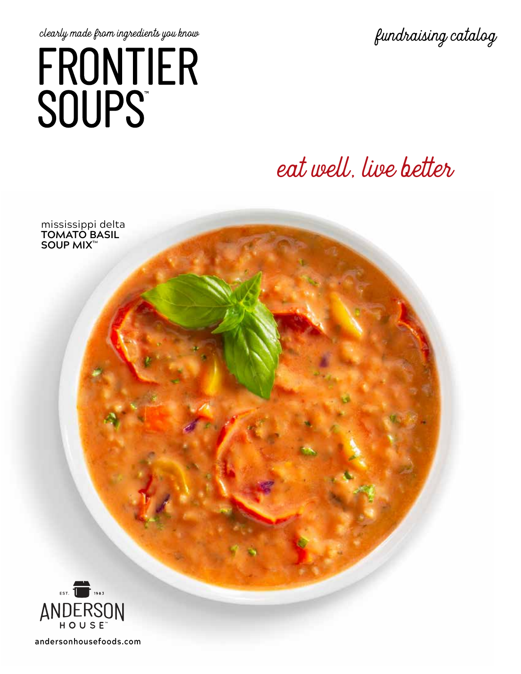# clearly made from ingredients you know<br>  $FRONTIER$ **SOUPS**

## eat well, live better

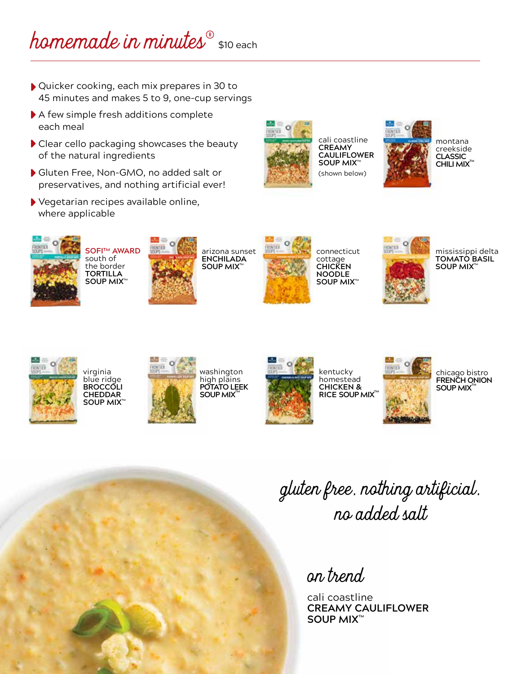### homemade in minutes s10 each

- ▶ Quicker cooking, each mix prepares in 30 to 45 minutes and makes 5 to 9, one-cup servings
- A few simple fresh additions complete each meal
- Clear cello packaging showcases the beauty of the natural ingredients
- Gluten Free, Non-GMO, no added salt or preservatives, and nothing artificial ever!
- Vegetarian recipes available online, where applicable



cali coastline **CREAMY CAULIFLOWER SOUP MIX™** (shown below)



montana creekside **CLASSIC CHILI MIX™** 



**SOFI™ AWARD** south of the border **TORTILLA SOUP MIX™**



arizona sunset **ENCHILADA SOUP MIX™**



connecticut cottage **CHICKEN NOODLE SOUP MIX™**



mississippi delta **TOMATO BASIL SOUP MIX™**



virginia blue ridge **BROCCOLI CHEDDAR SOUP MIX™**



washington high plains **POTATO LEEK SOUP MIX™**



kentucky homestead **CHICKEN & RICE SOUP MIX<sup>®</sup>** 



chicago bistro **FRENCH ONION SOUP MIX™**

gluten free, nothing artificial, no added salt

#### on trend

cali coastline **CREAMY CAULIFLOWER SOUP MIX™**